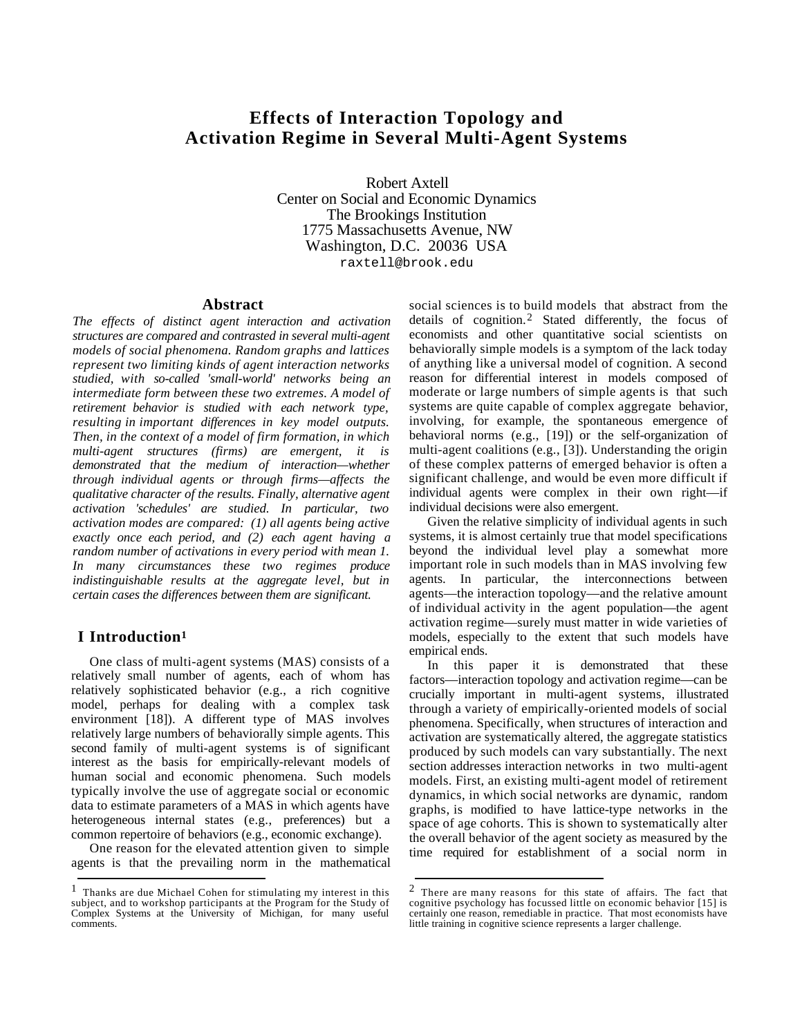# **Effects of Interaction Topology and Activation Regime in Several Multi-Agent Systems**

Robert Axtell Center on Social and Economic Dynamics The Brookings Institution 1775 Massachusetts Avenue, NW Washington, D.C. 20036 USA raxtell@brook.edu

1

### **Abstract**

*The effects of distinct agent interaction and activation structures are compared and contrasted in several multi-agent models of social phenomena. Random graphs and lattices represent two limiting kinds of agent interaction networks studied, with so-called 'small-world' networks being an intermediate form between these two extremes. A model of retirement behavior is studied with each network type, resulting in important differences in key model outputs. Then, in the context of a model of firm formation, in which multi-agent structures (firms) are emergent, it is demonstrated that the medium of interaction—whether through individual agents or through firms—affects the qualitative character of the results. Finally, alternative agent activation 'schedules' are studied. In particular, two activation modes are compared: (1) all agents being active exactly once each period, and (2) each agent having a random number of activations in every period with mean 1. In many circumstances these two regimes produce indistinguishable results at the aggregate level, but in certain cases the differences between them are significant.*

# **I Introduction<sup>1</sup>**

1

One class of multi-agent systems (MAS) consists of a relatively small number of agents, each of whom has relatively sophisticated behavior (e.g., a rich cognitive model, perhaps for dealing with a complex task environment [18]). A different type of MAS involves relatively large numbers of behaviorally simple agents. This second family of multi-agent systems is of significant interest as the basis for empirically-relevant models of human social and economic phenomena. Such models typically involve the use of aggregate social or economic data to estimate parameters of a MAS in which agents have heterogeneous internal states (e.g., preferences) but a common repertoire of behaviors (e.g., economic exchange).

One reason for the elevated attention given to simple agents is that the prevailing norm in the mathematical social sciences is to build models that abstract from the details of cognition.<sup>2</sup> Stated differently, the focus of economists and other quantitative social scientists on behaviorally simple models is a symptom of the lack today of anything like a universal model of cognition. A second reason for differential interest in models composed of moderate or large numbers of simple agents is that such systems are quite capable of complex aggregate behavior, involving, for example, the spontaneous emergence of behavioral norms (e.g., [19]) or the self-organization of multi-agent coalitions (e.g., [3]). Understanding the origin of these complex patterns of emerged behavior is often a significant challenge, and would be even more difficult if individual agents were complex in their own right—if individual decisions were also emergent.

Given the relative simplicity of individual agents in such systems, it is almost certainly true that model specifications beyond the individual level play a somewhat more important role in such models than in MAS involving few agents. In particular, the interconnections between agents—the interaction topology—and the relative amount of individual activity in the agent population—the agent activation regime—surely must matter in wide varieties of models, especially to the extent that such models have empirical ends.

In this paper it is demonstrated that these factors—interaction topology and activation regime—can be crucially important in multi-agent systems, illustrated through a variety of empirically-oriented models of social phenomena. Specifically, when structures of interaction and activation are systematically altered, the aggregate statistics produced by such models can vary substantially. The next section addresses interaction networks in two multi-agent models. First, an existing multi-agent model of retirement dynamics, in which social networks are dynamic, random graphs, is modified to have lattice-type networks in the space of age cohorts. This is shown to systematically alter the overall behavior of the agent society as measured by the time required for establishment of a social norm in

<sup>&</sup>lt;sup>1</sup> Thanks are due Michael Cohen for stimulating my interest in this subject, and to workshop participants at the Program for the Study of Complex Systems at the University of Michigan, for many useful comments.

 $2$  There are many reasons for this state of affairs. The fact that cognitive psychology has focussed little on economic behavior [15] is certainly one reason, remediable in practice. That most economists have little training in cognitive science represents a larger challenge.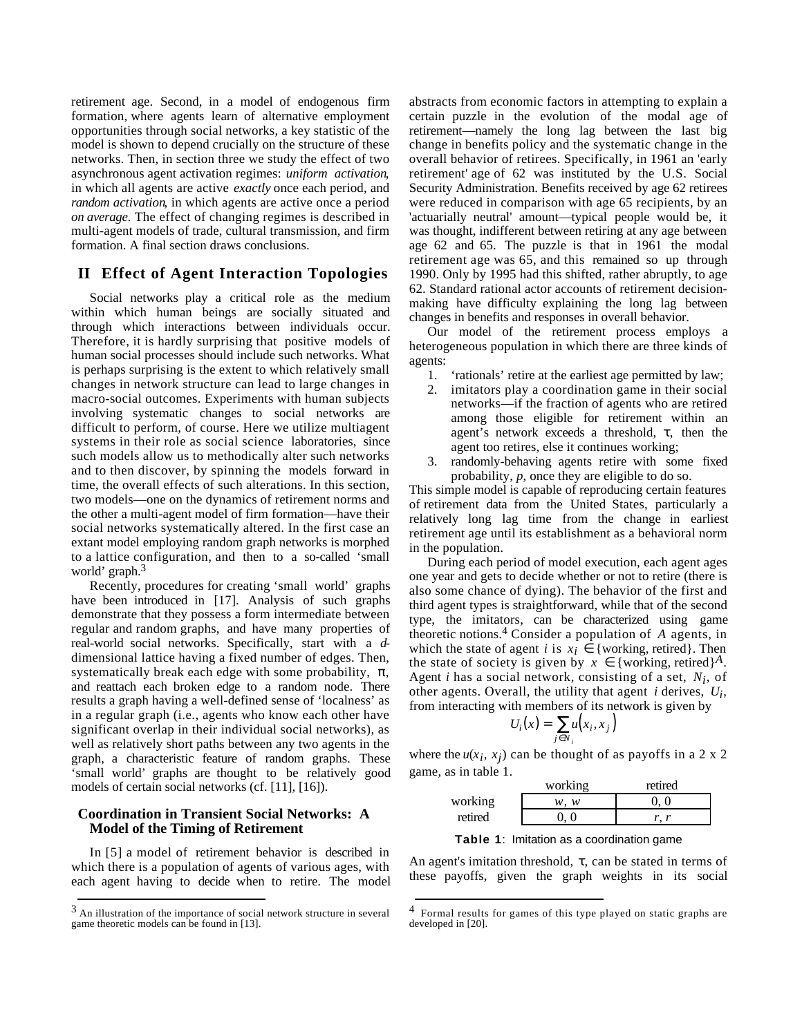retirement age. Second, in a model of endogenous firm formation, where agents learn of alternative employment opportunities through social networks, a key statistic of the model is shown to depend crucially on the structure of these networks. Then, in section three we study the effect of two asynchronous agent activation regimes: *uniform activation*, in which all agents are active *exactly* once each period, and *random activation*, in which agents are active once a period *on average*. The effect of changing regimes is described in multi-agent models of trade, cultural transmission, and firm formation. A final section draws conclusions.

# **II Effect of Agent Interaction Topologies**

Social networks play a critical role as the medium within which human beings are socially situated and through which interactions between individuals occur. Therefore, it is hardly surprising that positive models of human social processes should include such networks. What is perhaps surprising is the extent to which relatively small changes in network structure can lead to large changes in macro-social outcomes. Experiments with human subjects involving systematic changes to social networks are difficult to perform, of course. Here we utilize multiagent systems in their role as social science laboratories, since such models allow us to methodically alter such networks and to then discover, by spinning the models forward in time, the overall effects of such alterations. In this section, two models—one on the dynamics of retirement norms and the other a multi-agent model of firm formation—have their social networks systematically altered. In the first case an extant model employing random graph networks is morphed to a lattice configuration, and then to a so-called 'small world' graph.<sup>3</sup>

Recently, procedures for creating 'small world' graphs have been introduced in [17]. Analysis of such graphs demonstrate that they possess a form intermediate between regular and random graphs, and have many properties of real-world social networks. Specifically, start with a *d*dimensional lattice having a fixed number of edges. Then, systematically break each edge with some probability, , and reattach each broken edge to a random node. There results a graph having a well-defined sense of 'localness' as in a regular graph (i.e., agents who know each other have significant overlap in their individual social networks), as well as relatively short paths between any two agents in the graph, a characteristic feature of random graphs. These 'small world' graphs are thought to be relatively good models of certain social networks (cf. [11], [16]).

### **Coordination in Transient Social Networks: A Model of the Timing of Retirement**

In [5] a model of retirement behavior is described in which there is a population of agents of various ages, with each agent having to decide when to retire. The model

l

abstracts from economic factors in attempting to explain a certain puzzle in the evolution of the modal age of retirement—namely the long lag between the last big change in benefits policy and the systematic change in the overall behavior of retirees. Specifically, in 1961 an 'early retirement' age of 62 was instituted by the U.S. Social Security Administration. Benefits received by age 62 retirees were reduced in comparison with age 65 recipients, by an 'actuarially neutral' amount—typical people would be, it was thought, indifferent between retiring at any age between age 62 and 65. The puzzle is that in 1961 the modal retirement age was 65, and this remained so up through 1990. Only by 1995 had this shifted, rather abruptly, to age 62. Standard rational actor accounts of retirement decisionmaking have difficulty explaining the long lag between changes in benefits and responses in overall behavior.

Our model of the retirement process employs a heterogeneous population in which there are three kinds of agents:

- 1. 'rationals' retire at the earliest age permitted by law;
- 2. imitators play a coordination game in their social networks—if the fraction of agents who are retired among those eligible for retirement within an agent's network exceeds a threshold, , then the agent too retires, else it continues working;
- 3. randomly-behaving agents retire with some fixed probability, *p*, once they are eligible to do so.

This simple model is capable of reproducing certain features of retirement data from the United States, particularly a relatively long lag time from the change in earliest retirement age until its establishment as a behavioral norm in the population.

During each period of model execution, each agent ages one year and gets to decide whether or not to retire (there is also some chance of dying). The behavior of the first and third agent types is straightforward, while that of the second type, the imitators, can be characterized using game theoretic notions.4 Consider a population of *A* agents, in which the state of agent *i* is  $x_i$  {working, retired}. Then the state of society is given by  $x \in \{\text{working, retired}\}^A$ . Agent *i* has a social network, consisting of a set, *Ni* , of other agents. Overall, the utility that agent *i* derives, *Ui* , from interacting with members of its network is given by

$$
U_i(x) = \underset{j \ N_i}{u(x_i, x_j)}
$$

where the  $u(x_i, x_j)$  can be thought of as payoffs in a 2 x 2 game, as in table 1.

|         | working | retired |
|---------|---------|---------|
| working | w. w    |         |
| retired |         |         |

**Table 1**: Imitation as a coordination game

An agent's imitation threshold, , can be stated in terms of these payoffs, given the graph weights in its social

l

<sup>3</sup> An illustration of the importance of social network structure in several game theoretic models can be found in [13].

<sup>&</sup>lt;sup>4</sup> Formal results for games of this type played on static graphs are developed in [20].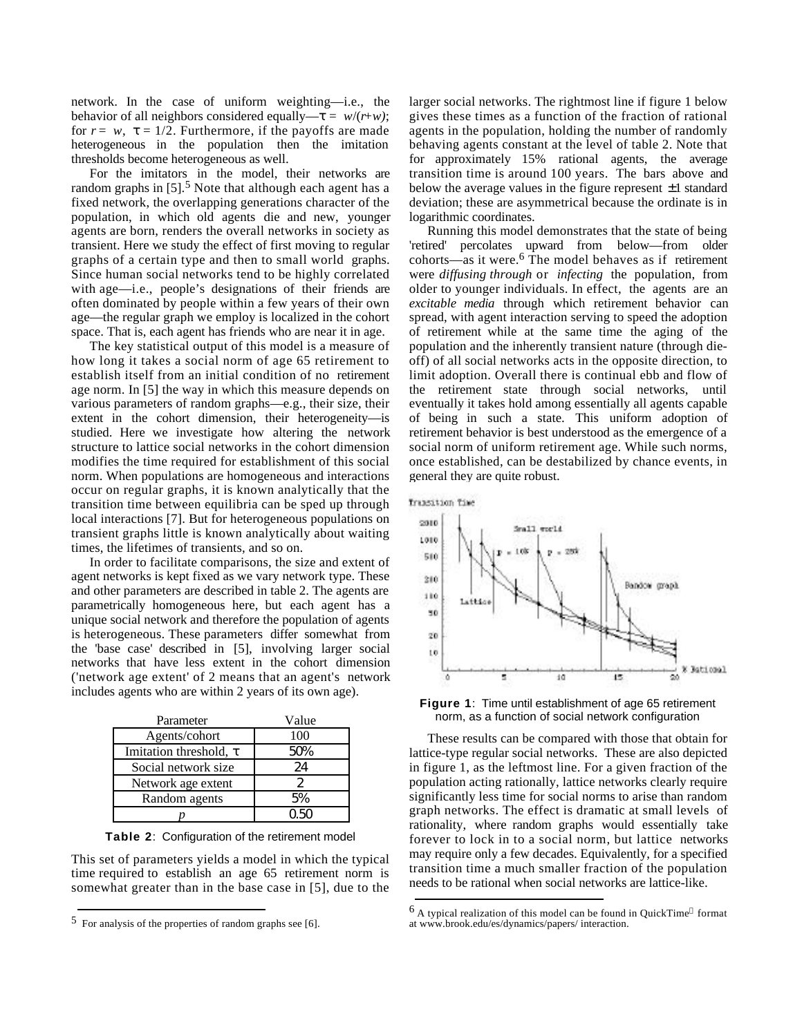network. In the case of uniform weighting—i.e., the behavior of all neighbors considered equally— =  $w/(r+w)$ ; for  $r = w$ , = 1/2. Furthermore, if the payoffs are made heterogeneous in the population then the imitation thresholds become heterogeneous as well.

For the imitators in the model, their networks are random graphs in [5].<sup>5</sup> Note that although each agent has a fixed network, the overlapping generations character of the population, in which old agents die and new, younger agents are born, renders the overall networks in society as transient. Here we study the effect of first moving to regular graphs of a certain type and then to small world graphs. Since human social networks tend to be highly correlated with age—i.e., people's designations of their friends are often dominated by people within a few years of their own age—the regular graph we employ is localized in the cohort space. That is, each agent has friends who are near it in age.

The key statistical output of this model is a measure of how long it takes a social norm of age 65 retirement to establish itself from an initial condition of no retirement age norm. In [5] the way in which this measure depends on various parameters of random graphs—e.g., their size, their extent in the cohort dimension, their heterogeneity—is studied. Here we investigate how altering the network structure to lattice social networks in the cohort dimension modifies the time required for establishment of this social norm. When populations are homogeneous and interactions occur on regular graphs, it is known analytically that the transition time between equilibria can be sped up through local interactions [7]. But for heterogeneous populations on transient graphs little is known analytically about waiting times, the lifetimes of transients, and so on.

In order to facilitate comparisons, the size and extent of agent networks is kept fixed as we vary network type. These and other parameters are described in table 2. The agents are parametrically homogeneous here, but each agent has a unique social network and therefore the population of agents is heterogeneous. These parameters differ somewhat from the 'base case' described in [5], involving larger social networks that have less extent in the cohort dimension ('network age extent' of 2 means that an agent's network includes agents who are within 2 years of its own age).

| Parameter            | Value |
|----------------------|-------|
| Agents/cohort        | 100   |
| Imitation threshold, | 50%   |
| Social network size  | 24    |
| Network age extent   |       |
| Random agents        | 5%    |
|                      | N 50  |

**Table 2**: Configuration of the retirement model

This set of parameters yields a model in which the typical time required to establish an age 65 retirement norm is somewhat greater than in the base case in [5], due to the

1

larger social networks. The rightmost line if figure 1 below gives these times as a function of the fraction of rational agents in the population, holding the number of randomly behaving agents constant at the level of table 2. Note that for approximately 15% rational agents, the average transition time is around 100 years. The bars above and below the average values in the figure represent  $\pm 1$  standard deviation; these are asymmetrical because the ordinate is in logarithmic coordinates.

Running this model demonstrates that the state of being 'retired' percolates upward from below—from older cohorts—as it were.6 The model behaves as if retirement were *diffusing through* or *infecting* the population, from older to younger individuals. In effect, the agents are an *excitable media* through which retirement behavior can spread, with agent interaction serving to speed the adoption of retirement while at the same time the aging of the population and the inherently transient nature (through dieoff) of all social networks acts in the opposite direction, to limit adoption. Overall there is continual ebb and flow of the retirement state through social networks, until eventually it takes hold among essentially all agents capable of being in such a state. This uniform adoption of retirement behavior is best understood as the emergence of a social norm of uniform retirement age. While such norms, once established, can be destabilized by chance events, in general they are quite robust.

Transition Time

l



**Figure 1**: Time until establishment of age 65 retirement norm, as a function of social network configuration

These results can be compared with those that obtain for lattice-type regular social networks. These are also depicted in figure 1, as the leftmost line. For a given fraction of the population acting rationally, lattice networks clearly require significantly less time for social norms to arise than random graph networks. The effect is dramatic at small levels of rationality, where random graphs would essentially take forever to lock in to a social norm, but lattice networks may require only a few decades. Equivalently, for a specified transition time a much smaller fraction of the population needs to be rational when social networks are lattice-like.

<sup>5</sup> For analysis of the properties of random graphs see [6].

<sup>6</sup> A typical realization of this model can be found in QuickTime format at www.brook.edu/es/dynamics/papers/ interaction.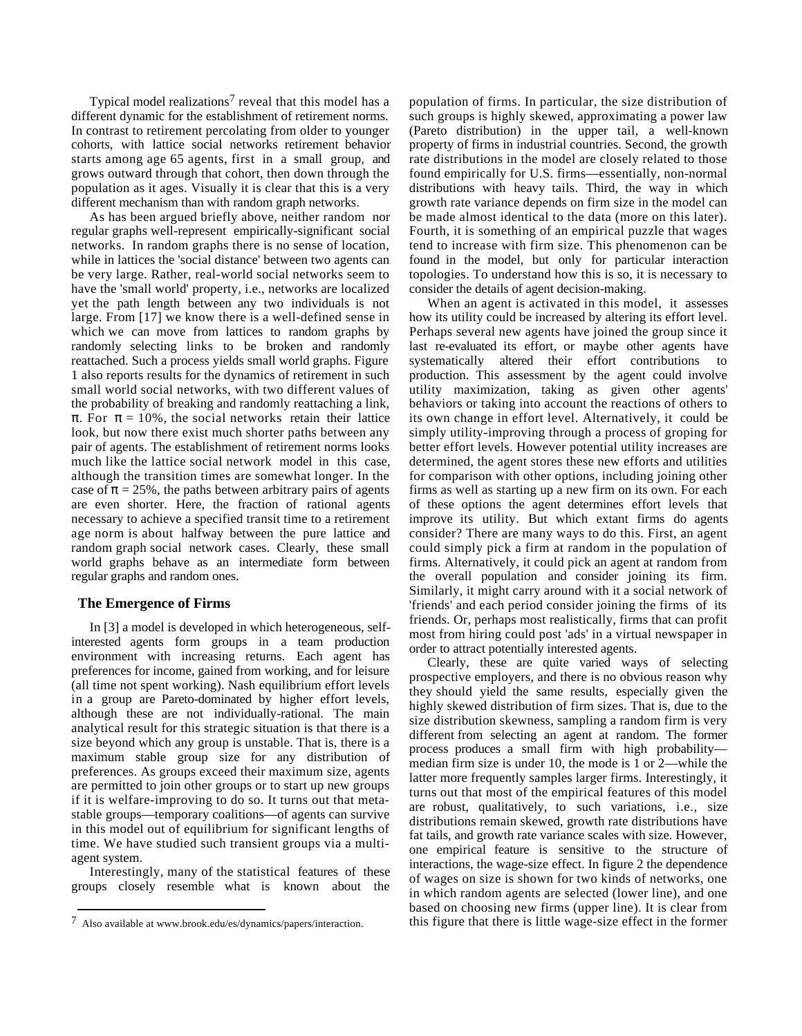Typical model realizations<sup>7</sup> reveal that this model has a different dynamic for the establishment of retirement norms. In contrast to retirement percolating from older to younger cohorts, with lattice social networks retirement behavior starts among age 65 agents, first in a small group, and grows outward through that cohort, then down through the population as it ages. Visually it is clear that this is a very different mechanism than with random graph networks.

As has been argued briefly above, neither random nor regular graphs well-represent empirically-significant social networks. In random graphs there is no sense of location, while in lattices the 'social distance' between two agents can be very large. Rather, real-world social networks seem to have the 'small world' property, i.e., networks are localized yet the path length between any two individuals is not large. From [17] we know there is a well-defined sense in which we can move from lattices to random graphs by randomly selecting links to be broken and randomly reattached. Such a process yields small world graphs. Figure 1 also reports results for the dynamics of retirement in such small world social networks, with two different values of the probability of breaking and randomly reattaching a link,

. For  $= 10\%$ , the social networks retain their lattice look, but now there exist much shorter paths between any pair of agents. The establishment of retirement norms looks much like the lattice social network model in this case, although the transition times are somewhat longer. In the case of  $= 25\%$ , the paths between arbitrary pairs of agents are even shorter. Here, the fraction of rational agents necessary to achieve a specified transit time to a retirement age norm is about halfway between the pure lattice and random graph social network cases. Clearly, these small world graphs behave as an intermediate form between regular graphs and random ones.

## **The Emergence of Firms**

1

In [3] a model is developed in which heterogeneous, selfinterested agents form groups in a team production environment with increasing returns. Each agent has preferences for income, gained from working, and for leisure (all time not spent working). Nash equilibrium effort levels in a group are Pareto-dominated by higher effort levels, although these are not individually-rational. The main analytical result for this strategic situation is that there is a size beyond which any group is unstable. That is, there is a maximum stable group size for any distribution of preferences. As groups exceed their maximum size, agents are permitted to join other groups or to start up new groups if it is welfare-improving to do so. It turns out that metastable groups—temporary coalitions—of agents can survive in this model out of equilibrium for significant lengths of time. We have studied such transient groups via a multiagent system.

Interestingly, many of the statistical features of these groups closely resemble what is known about the

population of firms. In particular, the size distribution of such groups is highly skewed, approximating a power law (Pareto distribution) in the upper tail, a well-known property of firms in industrial countries. Second, the growth rate distributions in the model are closely related to those found empirically for U.S. firms—essentially, non-normal distributions with heavy tails. Third, the way in which growth rate variance depends on firm size in the model can be made almost identical to the data (more on this later). Fourth, it is something of an empirical puzzle that wages tend to increase with firm size. This phenomenon can be found in the model, but only for particular interaction topologies. To understand how this is so, it is necessary to consider the details of agent decision-making.

When an agent is activated in this model, it assesses how its utility could be increased by altering its effort level. Perhaps several new agents have joined the group since it last re-evaluated its effort, or maybe other agents have systematically altered their effort contributions to production. This assessment by the agent could involve utility maximization, taking as given other agents' behaviors or taking into account the reactions of others to its own change in effort level. Alternatively, it could be simply utility-improving through a process of groping for better effort levels. However potential utility increases are determined, the agent stores these new efforts and utilities for comparison with other options, including joining other firms as well as starting up a new firm on its own. For each of these options the agent determines effort levels that improve its utility. But which extant firms do agents consider? There are many ways to do this. First, an agent could simply pick a firm at random in the population of firms. Alternatively, it could pick an agent at random from the overall population and consider joining its firm. Similarly, it might carry around with it a social network of 'friends' and each period consider joining the firms of its friends. Or, perhaps most realistically, firms that can profit most from hiring could post 'ads' in a virtual newspaper in order to attract potentially interested agents.

Clearly, these are quite varied ways of selecting prospective employers, and there is no obvious reason why they should yield the same results, especially given the highly skewed distribution of firm sizes. That is, due to the size distribution skewness, sampling a random firm is very different from selecting an agent at random. The former process produces a small firm with high probability median firm size is under 10, the mode is 1 or 2—while the latter more frequently samples larger firms. Interestingly, it turns out that most of the empirical features of this model are robust, qualitatively, to such variations, i.e., size distributions remain skewed, growth rate distributions have fat tails, and growth rate variance scales with size. However, one empirical feature is sensitive to the structure of interactions, the wage-size effect. In figure 2 the dependence of wages on size is shown for two kinds of networks, one in which random agents are selected (lower line), and one based on choosing new firms (upper line). It is clear from this figure that there is little wage-size effect in the former

<sup>7</sup> Also available at www.brook.edu/es/dynamics/papers/interaction.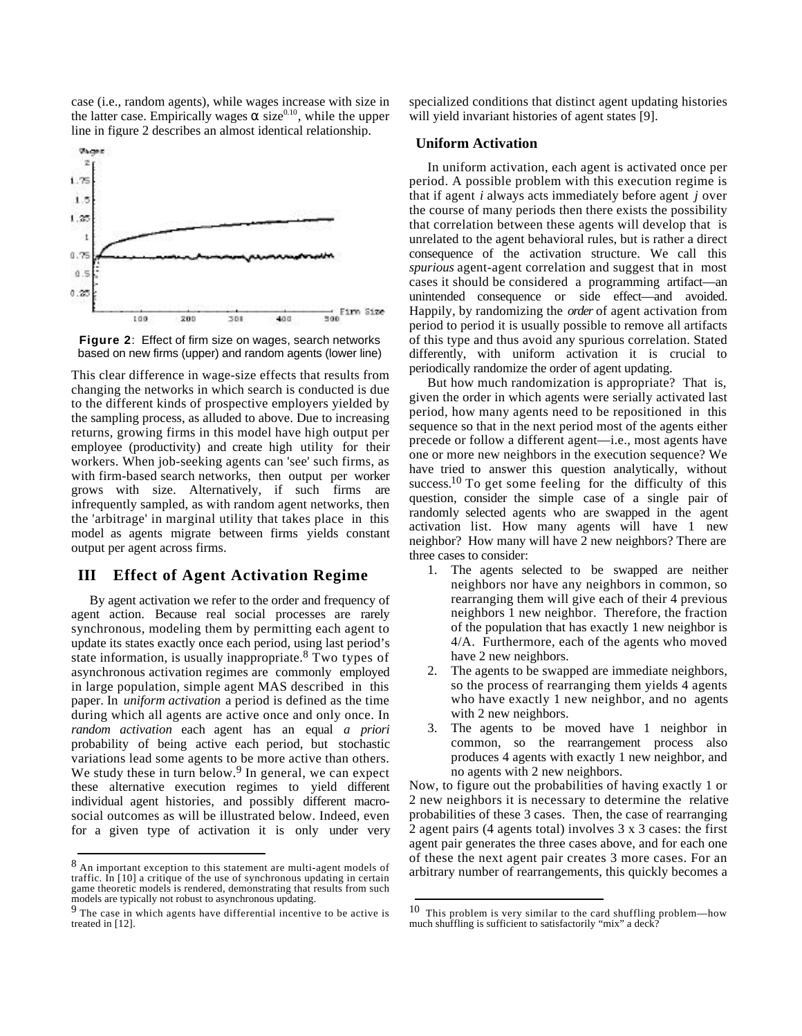case (i.e., random agents), while wages increase with size in the latter case. Empirically wages size $^{0.10}$ , while the upper line in figure 2 describes an almost identical relationship.



**Figure 2**: Effect of firm size on wages, search networks based on new firms (upper) and random agents (lower line)

This clear difference in wage-size effects that results from changing the networks in which search is conducted is due to the different kinds of prospective employers yielded by the sampling process, as alluded to above. Due to increasing returns, growing firms in this model have high output per employee (productivity) and create high utility for their workers. When job-seeking agents can 'see' such firms, as with firm-based search networks, then output per worker grows with size. Alternatively, if such firms are infrequently sampled, as with random agent networks, then the 'arbitrage' in marginal utility that takes place in this model as agents migrate between firms yields constant output per agent across firms.

# **III Effect of Agent Activation Regime**

By agent activation we refer to the order and frequency of agent action. Because real social processes are rarely synchronous, modeling them by permitting each agent to update its states exactly once each period, using last period's state information, is usually inappropriate.<sup>8</sup> Two types of asynchronous activation regimes are commonly employed in large population, simple agent MAS described in this paper. In *uniform activation* a period is defined as the time during which all agents are active once and only once. In *random activation* each agent has an equal *a priori* probability of being active each period, but stochastic variations lead some agents to be more active than others. We study these in turn below.<sup>9</sup> In general, we can expect these alternative execution regimes to yield different individual agent histories, and possibly different macrosocial outcomes as will be illustrated below. Indeed, even for a given type of activation it is only under very

1

specialized conditions that distinct agent updating histories will yield invariant histories of agent states [9].

#### **Uniform Activation**

In uniform activation, each agent is activated once per period. A possible problem with this execution regime is that if agent *i* always acts immediately before agent *j* over the course of many periods then there exists the possibility that correlation between these agents will develop that is unrelated to the agent behavioral rules, but is rather a direct consequence of the activation structure. We call this *spurious* agent-agent correlation and suggest that in most cases it should be considered a programming artifact—an unintended consequence or side effect—and avoided. Happily, by randomizing the *order* of agent activation from period to period it is usually possible to remove all artifacts of this type and thus avoid any spurious correlation. Stated differently, with uniform activation it is crucial to periodically randomize the order of agent updating.

But how much randomization is appropriate? That is, given the order in which agents were serially activated last period, how many agents need to be repositioned in this sequence so that in the next period most of the agents either precede or follow a different agent—i.e., most agents have one or more new neighbors in the execution sequence? We have tried to answer this question analytically, without success.<sup>10</sup> To get some feeling for the difficulty of this question, consider the simple case of a single pair of randomly selected agents who are swapped in the agent activation list. How many agents will have 1 new neighbor? How many will have 2 new neighbors? There are three cases to consider:

- 1. The agents selected to be swapped are neither neighbors nor have any neighbors in common, so rearranging them will give each of their 4 previous neighbors 1 new neighbor. Therefore, the fraction of the population that has exactly 1 new neighbor is 4/A. Furthermore, each of the agents who moved have 2 new neighbors.
- 2. The agents to be swapped are immediate neighbors, so the process of rearranging them yields 4 agents who have exactly 1 new neighbor, and no agents with 2 new neighbors.
- 3. The agents to be moved have 1 neighbor in common, so the rearrangement process also produces 4 agents with exactly 1 new neighbor, and no agents with 2 new neighbors.

Now, to figure out the probabilities of having exactly 1 or 2 new neighbors it is necessary to determine the relative probabilities of these 3 cases. Then, the case of rearranging 2 agent pairs (4 agents total) involves 3 x 3 cases: the first agent pair generates the three cases above, and for each one of these the next agent pair creates 3 more cases. For an arbitrary number of rearrangements, this quickly becomes a

l

<sup>8</sup> An important exception to this statement are multi-agent models of traffic. In [10] a critique of the use of synchronous updating in certain game theoretic models is rendered, demonstrating that results from such models are typically not robust to asynchronous updating.

<sup>&</sup>lt;sup>9</sup> The case in which agents have differential incentive to be active is treated in [12].

<sup>&</sup>lt;sup>10</sup> This problem is very similar to the card shuffling problem—how much shuffling is sufficient to satisfactorily "mix" a deck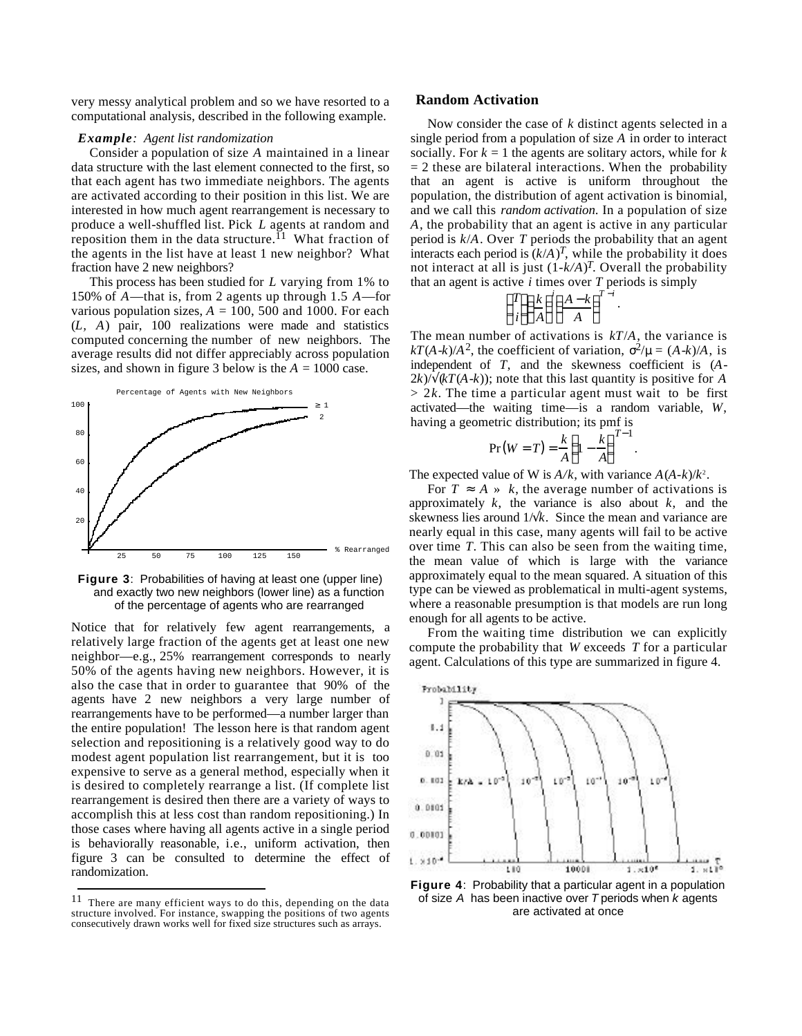very messy analytical problem and so we have resorted to a computational analysis, described in the following example.

#### *Example: Agent list randomization*

Consider a population of size *A* maintained in a linear data structure with the last element connected to the first, so that each agent has two immediate neighbors. The agents are activated according to their position in this list. We are interested in how much agent rearrangement is necessary to produce a well-shuffled list. Pick *L* agents at random and reposition them in the data structure.<sup> $11$ </sup> What fraction of the agents in the list have at least 1 new neighbor? What fraction have 2 new neighbors?

This process has been studied for *L* varying from 1% to 150% of *A*—that is, from 2 agents up through 1.5 *A*—for various population sizes,  $A = 100$ , 500 and 1000. For each (*L, A*) pair, 100 realizations were made and statistics computed concerning the number of new neighbors. The average results did not differ appreciably across population sizes, and shown in figure 3 below is the  $A = 1000$  case.



**Figure 3**: Probabilities of having at least one (upper line) and exactly two new neighbors (lower line) as a function of the percentage of agents who are rearranged

Notice that for relatively few agent rearrangements, a relatively large fraction of the agents get at least one new neighbor—e.g., 25% rearrangement corresponds to nearly 50% of the agents having new neighbors. However, it is also the case that in order to guarantee that 90% of the agents have 2 new neighbors a very large number of rearrangements have to be performed—a number larger than the entire population! The lesson here is that random agent selection and repositioning is a relatively good way to do modest agent population list rearrangement, but it is too expensive to serve as a general method, especially when it is desired to completely rearrange a list. (If complete list rearrangement is desired then there are a variety of ways to accomplish this at less cost than random repositioning.) In those cases where having all agents active in a single period is behaviorally reasonable, i.e., uniform activation, then figure 3 can be consulted to determine the effect of randomization.

1

# **Random Activation**

Now consider the case of *k* distinct agents selected in a single period from a population of size *A* in order to interact socially. For  $k = 1$  the agents are solitary actors, while for  $k$  $= 2$  these are bilateral interactions. When the probability that an agent is active is uniform throughout the population, the distribution of agent activation is binomial, and we call this *random activation*. In a population of size *A*, the probability that an agent is active in any particular period is *k*/*A*. Over *T* periods the probability that an agent interacts each period is  $(k/A)^T$ , while the probability it does not interact at all is just (1-*k/A*) *T*. Overall the probability that an agent is active *i* times over *T* periods is simply

$$
\frac{T}{i} \frac{k}{A}^i \frac{A-k}{A}^{T-i}
$$

.

The mean number of activations is *kT*/*A*, the variance is  $kT(A-k)/A^2$ , the coefficient of variation,  $\frac{2}{\mu} = (A-k)/A$ , is independent of *T*, and the skewness coefficient is (*A*-2*k*)/ (*kT*(*A*-*k*)); note that this last quantity is positive for *A*  $> 2k$ . The time a particular agent must wait to be first activated—the waiting time—is a random variable, *W*, having a geometric distribution; its pmf is

$$
\Pr\left(W = T\right) = \frac{k}{A} \left(1 - \frac{k}{A}\right)^{T-1}.
$$

The expected value of W is  $A/k$ , with variance  $A(A-k)/k^2$ .

For  $T \in A \rightarrow k$ , the average number of activations is approximately *k*, the variance is also about *k*, and the skewness lies around 1/ *k*. Since the mean and variance are nearly equal in this case, many agents will fail to be active over time *T*. This can also be seen from the waiting time, the mean value of which is large with the variance approximately equal to the mean squared. A situation of this type can be viewed as problematical in multi-agent systems, where a reasonable presumption is that models are run long enough for all agents to be active.

From the waiting time distribution we can explicitly compute the probability that *W* exceeds *T* for a particular agent. Calculations of this type are summarized in figure 4.



**Figure 4**: Probability that a particular agent in a population of size *A* has been inactive over *T* periods when *k* agents are activated at once

<sup>&</sup>lt;sup>11</sup> There are many efficient ways to do this, depending on the data structure involved. For instance, swapping the positions of two agents consecutively drawn works well for fixed size structures such as arrays.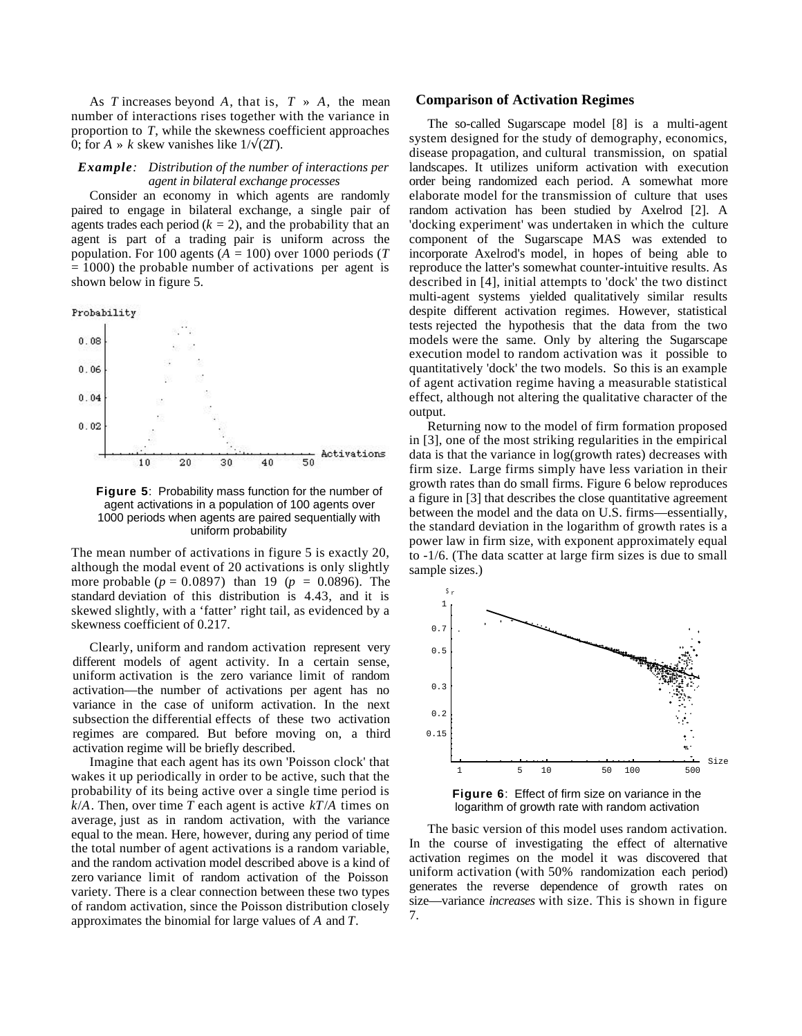As *T* increases beyond *A*, that is, *T* » *A*, the mean number of interactions rises together with the variance in proportion to *T*, while the skewness coefficient approaches 0; for  $A \rightarrow k$  skew vanishes like  $1/(2T)$ .

#### *Example: Distribution of the number of interactions per agent in bilateral exchange processes*

Consider an economy in which agents are randomly paired to engage in bilateral exchange, a single pair of agents trades each period  $(k = 2)$ , and the probability that an agent is part of a trading pair is uniform across the population. For 100 agents  $(A = 100)$  over 1000 periods (*T*  $= 1000$ ) the probable number of activations per agent is shown below in figure 5.

Probability



**Figure 5**: Probability mass function for the number of agent activations in a population of 100 agents over 1000 periods when agents are paired sequentially with uniform probability

The mean number of activations in figure 5 is exactly 20, although the modal event of 20 activations is only slightly more probable ( $p = 0.0897$ ) than 19 ( $p = 0.0896$ ). The standard deviation of this distribution is 4.43, and it is skewed slightly, with a 'fatter' right tail, as evidenced by a skewness coefficient of 0.217.

Clearly, uniform and random activation represent very different models of agent activity. In a certain sense, uniform activation is the zero variance limit of random activation—the number of activations per agent has no variance in the case of uniform activation. In the next subsection the differential effects of these two activation regimes are compared. But before moving on, a third activation regime will be briefly described.

Imagine that each agent has its own 'Poisson clock' that wakes it up periodically in order to be active, such that the probability of its being active over a single time period is *k*/*A*. Then, over time *T* each agent is active *kT*/*A* times on average, just as in random activation, with the variance equal to the mean. Here, however, during any period of time the total number of agent activations is a random variable, and the random activation model described above is a kind of zero variance limit of random activation of the Poisson variety. There is a clear connection between these two types of random activation, since the Poisson distribution closely approximates the binomial for large values of *A* and *T*.

# **Comparison of Activation Regimes**

The so-called Sugarscape model [8] is a multi-agent system designed for the study of demography, economics, disease propagation, and cultural transmission, on spatial landscapes. It utilizes uniform activation with execution order being randomized each period. A somewhat more elaborate model for the transmission of culture that uses random activation has been studied by Axelrod [2]. A 'docking experiment' was undertaken in which the culture component of the Sugarscape MAS was extended to incorporate Axelrod's model, in hopes of being able to reproduce the latter's somewhat counter-intuitive results. As described in [4], initial attempts to 'dock' the two distinct multi-agent systems yielded qualitatively similar results despite different activation regimes. However, statistical tests rejected the hypothesis that the data from the two models were the same. Only by altering the Sugarscape execution model to random activation was it possible to quantitatively 'dock' the two models. So this is an example of agent activation regime having a measurable statistical effect, although not altering the qualitative character of the output.

Returning now to the model of firm formation proposed in [3], one of the most striking regularities in the empirical data is that the variance in log(growth rates) decreases with firm size. Large firms simply have less variation in their growth rates than do small firms. Figure 6 below reproduces a figure in [3] that describes the close quantitative agreement between the model and the data on U.S. firms—essentially, the standard deviation in the logarithm of growth rates is a power law in firm size, with exponent approximately equal to -1/6. (The data scatter at large firm sizes is due to small sample sizes.)



**Figure 6**: Effect of firm size on variance in the logarithm of growth rate with random activation

The basic version of this model uses random activation. In the course of investigating the effect of alternative activation regimes on the model it was discovered that uniform activation (with 50% randomization each period) generates the reverse dependence of growth rates on size—variance *increases* with size. This is shown in figure 7.